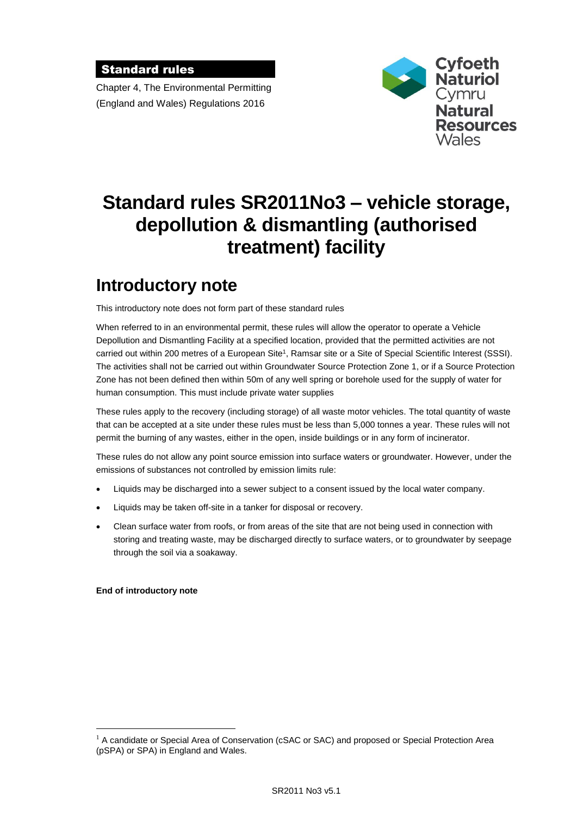### Standard rules

Chapter 4, The Environmental Permitting (England and Wales) Regulations 2016



# **Standard rules SR2011No3 – vehicle storage, depollution & dismantling (authorised treatment) facility**

# **Introductory note**

This introductory note does not form part of these standard rules

When referred to in an environmental permit, these rules will allow the operator to operate a Vehicle Depollution and Dismantling Facility at a specified location, provided that the permitted activities are not carried out within 200 metres of a European Site<sup>1</sup>, Ramsar site or a Site of Special Scientific Interest (SSSI). The activities shall not be carried out within Groundwater Source Protection Zone 1, or if a Source Protection Zone has not been defined then within 50m of any well spring or borehole used for the supply of water for human consumption. This must include private water supplies

These rules apply to the recovery (including storage) of all waste motor vehicles. The total quantity of waste that can be accepted at a site under these rules must be less than 5,000 tonnes a year. These rules will not permit the burning of any wastes, either in the open, inside buildings or in any form of incinerator.

These rules do not allow any point source emission into surface waters or groundwater. However, under the emissions of substances not controlled by emission limits rule:

- Liquids may be discharged into a sewer subject to a consent issued by the local water company.
- Liquids may be taken off-site in a tanker for disposal or recovery.
- Clean surface water from roofs, or from areas of the site that are not being used in connection with storing and treating waste, may be discharged directly to surface waters, or to groundwater by seepage through the soil via a soakaway.

#### **End of introductory note**

 $\overline{a}$ 

 $1$  A candidate or Special Area of Conservation (cSAC or SAC) and proposed or Special Protection Area (pSPA) or SPA) in England and Wales.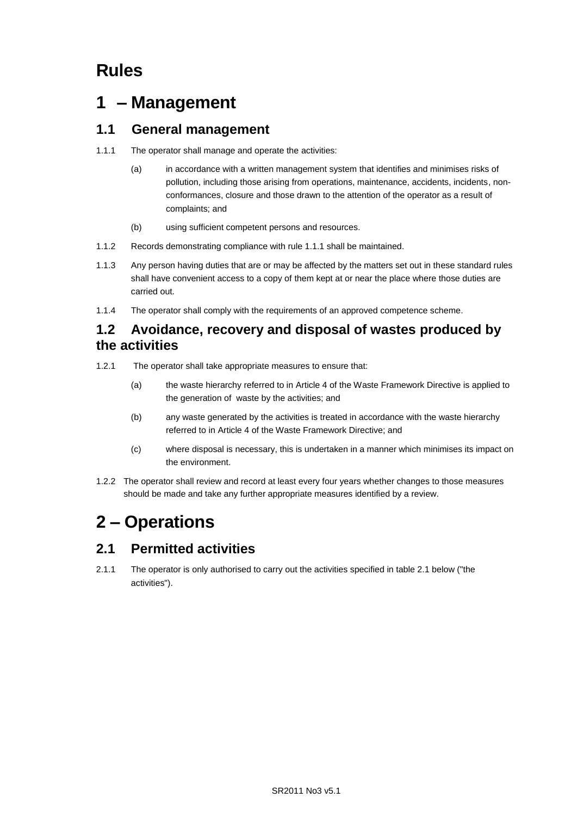# **Rules**

## **1 – Management**

## **1.1 General management**

- 1.1.1 The operator shall manage and operate the activities:
	- (a) in accordance with a written management system that identifies and minimises risks of pollution, including those arising from operations, maintenance, accidents, incidents, nonconformances, closure and those drawn to the attention of the operator as a result of complaints; and
	- (b) using sufficient competent persons and resources.
- 1.1.2 Records demonstrating compliance with rule 1.1.1 shall be maintained.
- 1.1.3 Any person having duties that are or may be affected by the matters set out in these standard rules shall have convenient access to a copy of them kept at or near the place where those duties are carried out.
- 1.1.4 The operator shall comply with the requirements of an approved competence scheme.

## **1.2 Avoidance, recovery and disposal of wastes produced by the activities**

- 1.2.1 The operator shall take appropriate measures to ensure that:
	- (a) the waste hierarchy referred to in Article 4 of the Waste Framework Directive is applied to the generation of waste by the activities; and
	- (b) any waste generated by the activities is treated in accordance with the waste hierarchy referred to in Article 4 of the Waste Framework Directive; and
	- (c) where disposal is necessary, this is undertaken in a manner which minimises its impact on the environment.
- 1.2.2 The operator shall review and record at least every four years whether changes to those measures should be made and take any further appropriate measures identified by a review.

# **2 – Operations**

## **2.1 Permitted activities**

2.1.1 The operator is only authorised to carry out the activities specified in table 2.1 below ("the activities").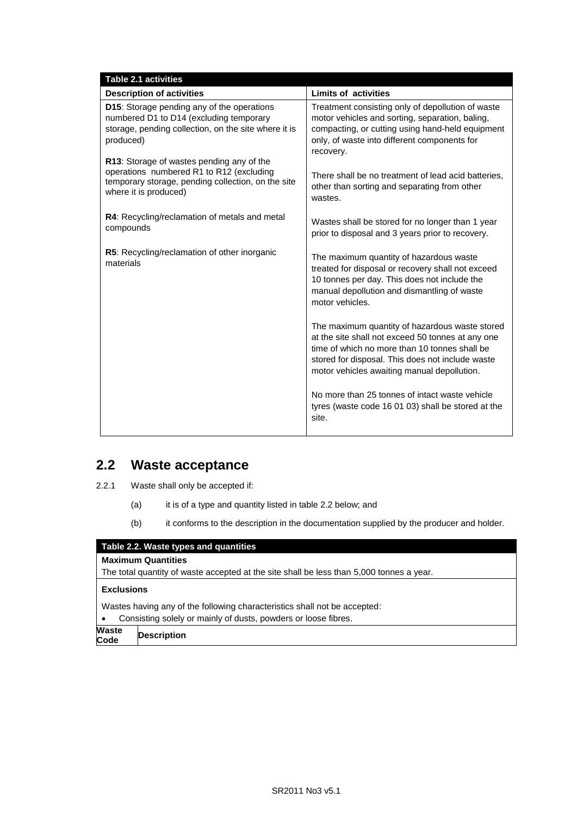| <b>Table 2.1 activities</b>                                                                                                                                          |                                                                                                                                                                                                                                                         |
|----------------------------------------------------------------------------------------------------------------------------------------------------------------------|---------------------------------------------------------------------------------------------------------------------------------------------------------------------------------------------------------------------------------------------------------|
| <b>Description of activities</b>                                                                                                                                     | <b>Limits of activities</b>                                                                                                                                                                                                                             |
| D15: Storage pending any of the operations<br>numbered D1 to D14 (excluding temporary<br>storage, pending collection, on the site where it is<br>produced)           | Treatment consisting only of depollution of waste<br>motor vehicles and sorting, separation, baling,<br>compacting, or cutting using hand-held equipment<br>only, of waste into different components for<br>recovery.                                   |
| R13: Storage of wastes pending any of the<br>operations numbered R1 to R12 (excluding<br>temporary storage, pending collection, on the site<br>where it is produced) | There shall be no treatment of lead acid batteries,<br>other than sorting and separating from other<br>wastes.                                                                                                                                          |
| R4: Recycling/reclamation of metals and metal<br>compounds                                                                                                           | Wastes shall be stored for no longer than 1 year<br>prior to disposal and 3 years prior to recovery.                                                                                                                                                    |
| R5: Recycling/reclamation of other inorganic<br>materials                                                                                                            | The maximum quantity of hazardous waste<br>treated for disposal or recovery shall not exceed<br>10 tonnes per day. This does not include the<br>manual depollution and dismantling of waste<br>motor vehicles.                                          |
|                                                                                                                                                                      | The maximum quantity of hazardous waste stored<br>at the site shall not exceed 50 tonnes at any one<br>time of which no more than 10 tonnes shall be<br>stored for disposal. This does not include waste<br>motor vehicles awaiting manual depollution. |
|                                                                                                                                                                      | No more than 25 tonnes of intact waste vehicle<br>tyres (waste code 16 01 03) shall be stored at the<br>site.                                                                                                                                           |

## **2.2 Waste acceptance**

2.2.1 Waste shall only be accepted if:

- (a) it is of a type and quantity listed in table 2.2 below; and
- (b) it conforms to the description in the documentation supplied by the producer and holder.

### **Table 2.2. Waste types and quantities**

### **Maximum Quantities**

The total quantity of waste accepted at the site shall be less than 5,000 tonnes a year.

#### **Exclusions**

Wastes having any of the following characteristics shall not be accepted:

Consisting solely or mainly of dusts, powders or loose fibres.

**Waste Code Description**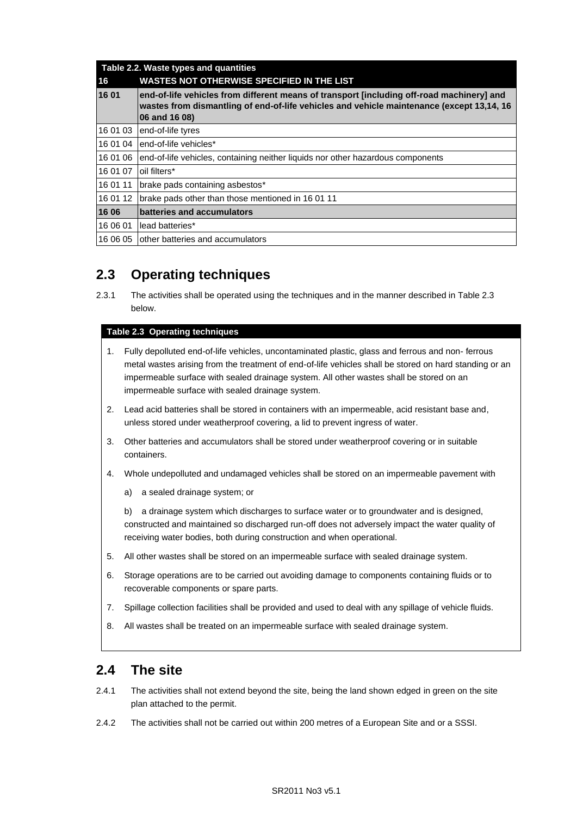| Table 2.2. Waste types and quantities |                                                                                                                                                                                                         |  |
|---------------------------------------|---------------------------------------------------------------------------------------------------------------------------------------------------------------------------------------------------------|--|
| 16                                    | <b>WASTES NOT OTHERWISE SPECIFIED IN THE LIST</b>                                                                                                                                                       |  |
| 16 01                                 | end-of-life vehicles from different means of transport [including off-road machinery] and<br>wastes from dismantling of end-of-life vehicles and vehicle maintenance (except 13,14, 16<br>06 and 16 08) |  |
| 16 01 03                              | end-of-life tyres                                                                                                                                                                                       |  |
| 16 01 04                              | end-of-life vehicles*                                                                                                                                                                                   |  |
| 16 01 06                              | end-of-life vehicles, containing neither liquids nor other hazardous components                                                                                                                         |  |
| 16 01 07                              | oil filters*                                                                                                                                                                                            |  |
| 16 01 11                              | brake pads containing asbestos*                                                                                                                                                                         |  |
| 16 01 12                              | brake pads other than those mentioned in 16 01 11                                                                                                                                                       |  |
| 16 06                                 | batteries and accumulators                                                                                                                                                                              |  |
| 16 06 01                              | lead batteries*                                                                                                                                                                                         |  |
| 16 06 05                              | other batteries and accumulators                                                                                                                                                                        |  |

## **2.3 Operating techniques**

2.3.1 The activities shall be operated using the techniques and in the manner described in Table 2.3 below.

#### **Table 2.3 Operating techniques**

- 1. Fully depolluted end-of-life vehicles, uncontaminated plastic, glass and ferrous and non- ferrous metal wastes arising from the treatment of end-of-life vehicles shall be stored on hard standing or an impermeable surface with sealed drainage system. All other wastes shall be stored on an impermeable surface with sealed drainage system.
- 2. Lead acid batteries shall be stored in containers with an impermeable, acid resistant base and, unless stored under weatherproof covering, a lid to prevent ingress of water.
- 3. Other batteries and accumulators shall be stored under weatherproof covering or in suitable containers.
- 4. Whole undepolluted and undamaged vehicles shall be stored on an impermeable pavement with
	- a) a sealed drainage system; or

b) a drainage system which discharges to surface water or to groundwater and is designed, constructed and maintained so discharged run-off does not adversely impact the water quality of receiving water bodies, both during construction and when operational.

- 5. All other wastes shall be stored on an impermeable surface with sealed drainage system.
- 6. Storage operations are to be carried out avoiding damage to components containing fluids or to recoverable components or spare parts.
- 7. Spillage collection facilities shall be provided and used to deal with any spillage of vehicle fluids.
- 8. All wastes shall be treated on an impermeable surface with sealed drainage system.

### **2.4 The site**

- 2.4.1 The activities shall not extend beyond the site, being the land shown edged in green on the site plan attached to the permit.
- 2.4.2 The activities shall not be carried out within 200 metres of a European Site and or a SSSI.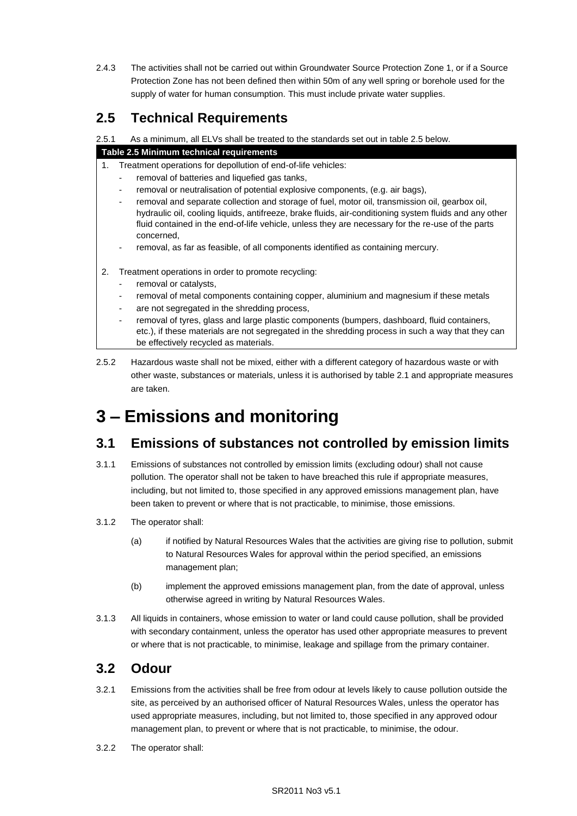2.4.3 The activities shall not be carried out within Groundwater Source Protection Zone 1, or if a Source Protection Zone has not been defined then within 50m of any well spring or borehole used for the supply of water for human consumption. This must include private water supplies.

## **2.5 Technical Requirements**

2.5.1 As a minimum, all ELVs shall be treated to the standards set out in table 2.5 below.

### **Table 2.5 Minimum technical requirements**

- 1. Treatment operations for depollution of end-of-life vehicles:
	- removal of batteries and liquefied gas tanks,
	- removal or neutralisation of potential explosive components, (e.g. air bags),
	- removal and separate collection and storage of fuel, motor oil, transmission oil, gearbox oil, hydraulic oil, cooling liquids, antifreeze, brake fluids, air-conditioning system fluids and any other fluid contained in the end-of-life vehicle, unless they are necessary for the re-use of the parts concerned,
	- removal, as far as feasible, of all components identified as containing mercury.
- 2. Treatment operations in order to promote recycling:
	- removal or catalysts,
	- removal of metal components containing copper, aluminium and magnesium if these metals
	- are not segregated in the shredding process,
	- removal of tyres, glass and large plastic components (bumpers, dashboard, fluid containers, etc.), if these materials are not segregated in the shredding process in such a way that they can be effectively recycled as materials.
- 2.5.2 Hazardous waste shall not be mixed, either with a different category of hazardous waste or with other waste, substances or materials, unless it is authorised by table 2.1 and appropriate measures are taken.

# **3 – Emissions and monitoring**

## **3.1 Emissions of substances not controlled by emission limits**

- 3.1.1 Emissions of substances not controlled by emission limits (excluding odour) shall not cause pollution. The operator shall not be taken to have breached this rule if appropriate measures, including, but not limited to, those specified in any approved emissions management plan, have been taken to prevent or where that is not practicable, to minimise, those emissions.
- 3.1.2 The operator shall:
	- (a) if notified by Natural Resources Wales that the activities are giving rise to pollution, submit to Natural Resources Wales for approval within the period specified, an emissions management plan;
	- (b) implement the approved emissions management plan, from the date of approval, unless otherwise agreed in writing by Natural Resources Wales.
- 3.1.3 All liquids in containers, whose emission to water or land could cause pollution, shall be provided with secondary containment, unless the operator has used other appropriate measures to prevent or where that is not practicable, to minimise, leakage and spillage from the primary container.

## **3.2 Odour**

- 3.2.1 Emissions from the activities shall be free from odour at levels likely to cause pollution outside the site, as perceived by an authorised officer of Natural Resources Wales, unless the operator has used appropriate measures, including, but not limited to, those specified in any approved odour management plan, to prevent or where that is not practicable, to minimise, the odour.
- 3.2.2 The operator shall: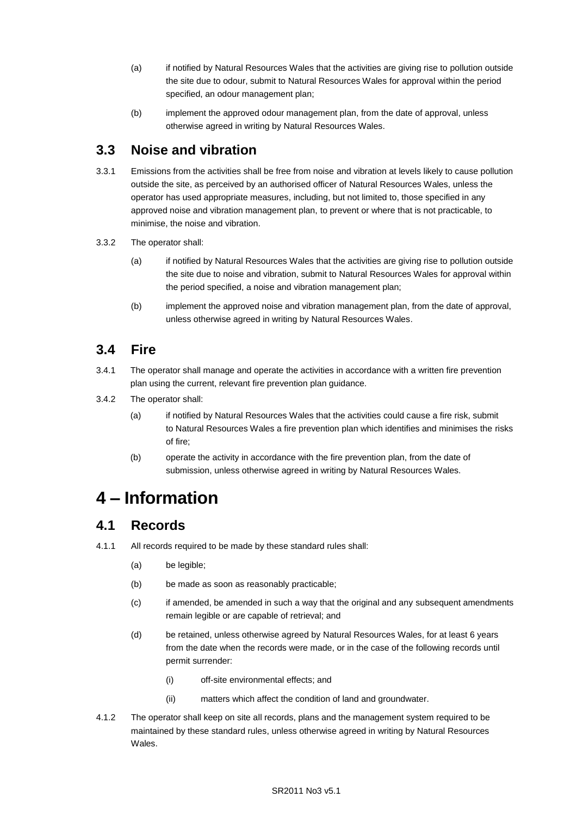- (a) if notified by Natural Resources Wales that the activities are giving rise to pollution outside the site due to odour, submit to Natural Resources Wales for approval within the period specified, an odour management plan;
- (b) implement the approved odour management plan, from the date of approval, unless otherwise agreed in writing by Natural Resources Wales.

## **3.3 Noise and vibration**

- 3.3.1 Emissions from the activities shall be free from noise and vibration at levels likely to cause pollution outside the site, as perceived by an authorised officer of Natural Resources Wales, unless the operator has used appropriate measures, including, but not limited to, those specified in any approved noise and vibration management plan, to prevent or where that is not practicable, to minimise, the noise and vibration.
- 3.3.2 The operator shall:
	- (a) if notified by Natural Resources Wales that the activities are giving rise to pollution outside the site due to noise and vibration, submit to Natural Resources Wales for approval within the period specified, a noise and vibration management plan;
	- (b) implement the approved noise and vibration management plan, from the date of approval, unless otherwise agreed in writing by Natural Resources Wales.

## **3.4 Fire**

- 3.4.1 The operator shall manage and operate the activities in accordance with a written fire prevention plan using the current, relevant fire prevention plan guidance.
- 3.4.2 The operator shall:
	- (a) if notified by Natural Resources Wales that the activities could cause a fire risk, submit to Natural Resources Wales a fire prevention plan which identifies and minimises the risks of fire;
	- (b) operate the activity in accordance with the fire prevention plan, from the date of submission, unless otherwise agreed in writing by Natural Resources Wales.

# **4 – Information**

## **4.1 Records**

- 4.1.1 All records required to be made by these standard rules shall:
	- (a) be legible;
	- (b) be made as soon as reasonably practicable;
	- (c) if amended, be amended in such a way that the original and any subsequent amendments remain legible or are capable of retrieval; and
	- (d) be retained, unless otherwise agreed by Natural Resources Wales, for at least 6 years from the date when the records were made, or in the case of the following records until permit surrender:
		- (i) off-site environmental effects; and
		- (ii) matters which affect the condition of land and groundwater.
- 4.1.2 The operator shall keep on site all records, plans and the management system required to be maintained by these standard rules, unless otherwise agreed in writing by Natural Resources Wales.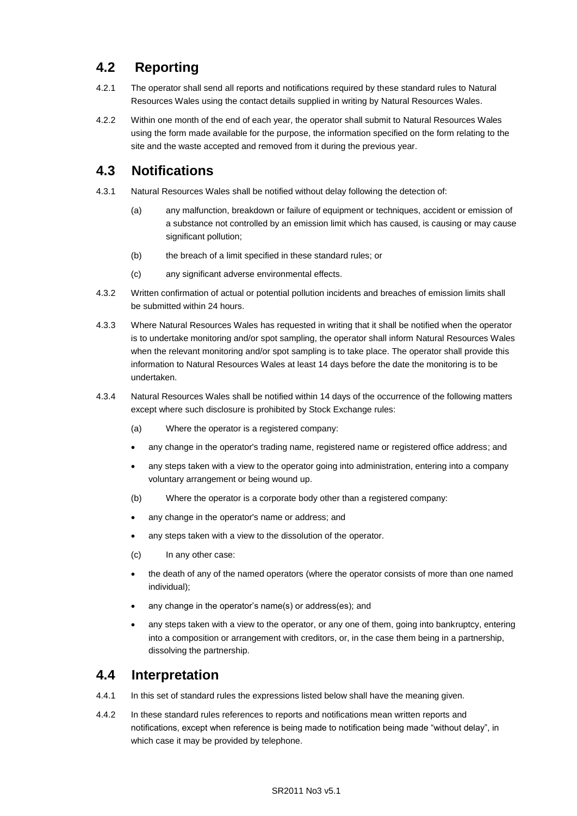## **4.2 Reporting**

- 4.2.1 The operator shall send all reports and notifications required by these standard rules to Natural Resources Wales using the contact details supplied in writing by Natural Resources Wales.
- 4.2.2 Within one month of the end of each year, the operator shall submit to Natural Resources Wales using the form made available for the purpose, the information specified on the form relating to the site and the waste accepted and removed from it during the previous year.

## **4.3 Notifications**

- 4.3.1 Natural Resources Wales shall be notified without delay following the detection of:
	- (a) any malfunction, breakdown or failure of equipment or techniques, accident or emission of a substance not controlled by an emission limit which has caused, is causing or may cause significant pollution;
	- (b) the breach of a limit specified in these standard rules; or
	- (c) any significant adverse environmental effects.
- 4.3.2 Written confirmation of actual or potential pollution incidents and breaches of emission limits shall be submitted within 24 hours.
- 4.3.3 Where Natural Resources Wales has requested in writing that it shall be notified when the operator is to undertake monitoring and/or spot sampling, the operator shall inform Natural Resources Wales when the relevant monitoring and/or spot sampling is to take place. The operator shall provide this information to Natural Resources Wales at least 14 days before the date the monitoring is to be undertaken.
- 4.3.4 Natural Resources Wales shall be notified within 14 days of the occurrence of the following matters except where such disclosure is prohibited by Stock Exchange rules:
	- (a) Where the operator is a registered company:
	- any change in the operator's trading name, registered name or registered office address; and
	- any steps taken with a view to the operator going into administration, entering into a company voluntary arrangement or being wound up.
	- (b) Where the operator is a corporate body other than a registered company:
	- any change in the operator's name or address; and
	- any steps taken with a view to the dissolution of the operator.
	- (c) In any other case:
	- the death of any of the named operators (where the operator consists of more than one named individual);
	- any change in the operator's name(s) or address(es); and
	- any steps taken with a view to the operator, or any one of them, going into bankruptcy, entering into a composition or arrangement with creditors, or, in the case them being in a partnership, dissolving the partnership.

## **4.4 Interpretation**

- 4.4.1 In this set of standard rules the expressions listed below shall have the meaning given.
- 4.4.2 In these standard rules references to reports and notifications mean written reports and notifications, except when reference is being made to notification being made "without delay", in which case it may be provided by telephone.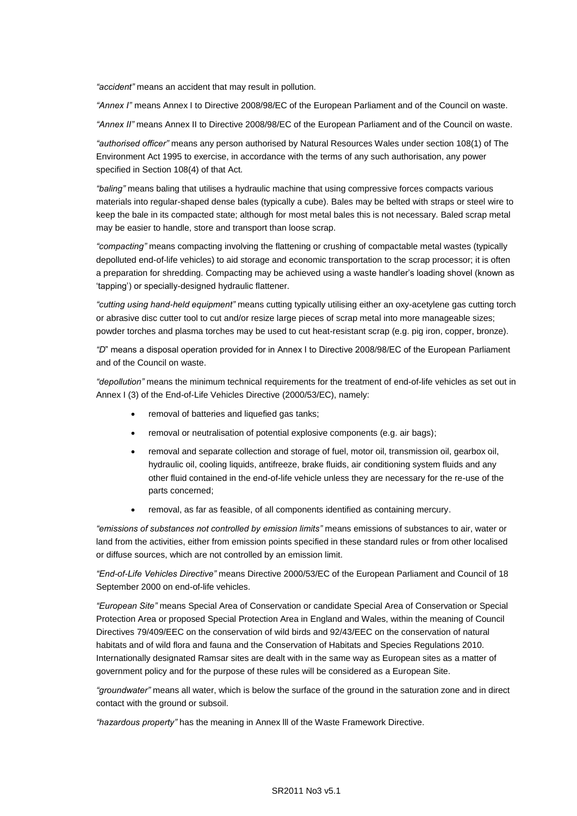*"accident"* means an accident that may result in pollution.

*"Annex I"* means Annex I to Directive 2008/98/EC of the European Parliament and of the Council on waste.

*"Annex II"* means Annex II to Directive 2008/98/EC of the European Parliament and of the Council on waste.

*"authorised officer"* means any person authorised by Natural Resources Wales under section 108(1) of The Environment Act 1995 to exercise, in accordance with the terms of any such authorisation, any power specified in Section 108(4) of that Act*.*

*"baling"* means baling that utilises a hydraulic machine that using compressive forces compacts various materials into regular-shaped dense bales (typically a cube). Bales may be belted with straps or steel wire to keep the bale in its compacted state; although for most metal bales this is not necessary. Baled scrap metal may be easier to handle, store and transport than loose scrap.

*"compacting"* means compacting involving the flattening or crushing of compactable metal wastes (typically depolluted end-of-life vehicles) to aid storage and economic transportation to the scrap processor; it is often a preparation for shredding. Compacting may be achieved using a waste handler's loading shovel (known as 'tapping') or specially-designed hydraulic flattener.

*"cutting using hand-held equipment"* means cutting typically utilising either an oxy-acetylene gas cutting torch or abrasive disc cutter tool to cut and/or resize large pieces of scrap metal into more manageable sizes; powder torches and plasma torches may be used to cut heat-resistant scrap (e.g. pig iron, copper, bronze).

*"D*" means a disposal operation provided for in Annex I to Directive 2008/98/EC of the European Parliament and of the Council on waste.

*"depollution"* means the minimum technical requirements for the treatment of end-of-life vehicles as set out in Annex I (3) of the End-of-Life Vehicles Directive (2000/53/EC), namely:

- removal of batteries and liquefied gas tanks;
- removal or neutralisation of potential explosive components (e.g. air bags);
- removal and separate collection and storage of fuel, motor oil, transmission oil, gearbox oil, hydraulic oil, cooling liquids, antifreeze, brake fluids, air conditioning system fluids and any other fluid contained in the end-of-life vehicle unless they are necessary for the re-use of the parts concerned;
- removal, as far as feasible, of all components identified as containing mercury.

*"emissions of substances not controlled by emission limits"* means emissions of substances to air, water or land from the activities, either from emission points specified in these standard rules or from other localised or diffuse sources, which are not controlled by an emission limit.

*"End-of-Life Vehicles Directive"* means Directive 2000/53/EC of the European Parliament and Council of 18 September 2000 on end-of-life vehicles.

*"European Site"* means Special Area of Conservation or candidate Special Area of Conservation or Special Protection Area or proposed Special Protection Area in England and Wales, within the meaning of Council Directives 79/409/EEC on the conservation of wild birds and 92/43/EEC on the conservation of natural habitats and of wild flora and fauna and the Conservation of Habitats and Species Regulations 2010. Internationally designated Ramsar sites are dealt with in the same way as European sites as a matter of government policy and for the purpose of these rules will be considered as a European Site.

*"groundwater"* means all water, which is below the surface of the ground in the saturation zone and in direct contact with the ground or subsoil.

*"hazardous property"* has the meaning in Annex lll of the Waste Framework Directive.